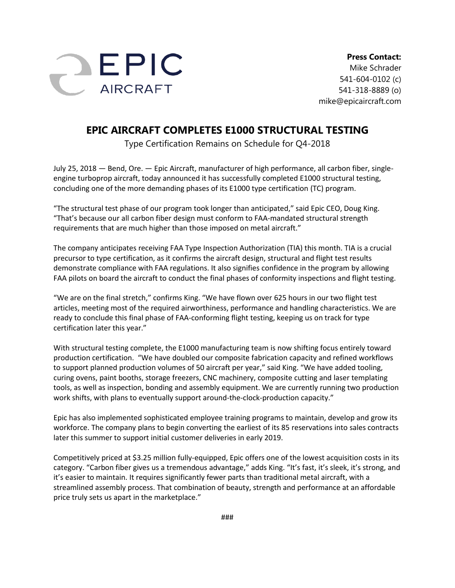

**Press Contact:** Mike Schrader 541-604-0102 (c) 541-318-8889 (o) mike@epicaircraft.com

## **EPIC AIRCRAFT COMPLETES E1000 STRUCTURAL TESTING**

Type Certification Remains on Schedule for Q4-2018

July 25, 2018 — Bend, Ore. — Epic Aircraft, manufacturer of high performance, all carbon fiber, singleengine turboprop aircraft, today announced it has successfully completed E1000 structural testing, concluding one of the more demanding phases of its E1000 type certification (TC) program.

"The structural test phase of our program took longer than anticipated," said Epic CEO, Doug King. "That's because our all carbon fiber design must conform to FAA-mandated structural strength requirements that are much higher than those imposed on metal aircraft."

The company anticipates receiving FAA Type Inspection Authorization (TIA) this month. TIA is a crucial precursor to type certification, as it confirms the aircraft design, structural and flight test results demonstrate compliance with FAA regulations. It also signifies confidence in the program by allowing FAA pilots on board the aircraft to conduct the final phases of conformity inspections and flight testing.

"We are on the final stretch," confirms King. "We have flown over 625 hours in our two flight test articles, meeting most of the required airworthiness, performance and handling characteristics. We are ready to conclude this final phase of FAA-conforming flight testing, keeping us on track for type certification later this year."

With structural testing complete, the E1000 manufacturing team is now shifting focus entirely toward production certification. "We have doubled our composite fabrication capacity and refined workflows to support planned production volumes of 50 aircraft per year," said King. "We have added tooling, curing ovens, paint booths, storage freezers, CNC machinery, composite cutting and laser templating tools, as well as inspection, bonding and assembly equipment. We are currently running two production work shifts, with plans to eventually support around-the-clock-production capacity."

Epic has also implemented sophisticated employee training programs to maintain, develop and grow its workforce. The company plans to begin converting the earliest of its 85 reservations into sales contracts later this summer to support initial customer deliveries in early 2019.

Competitively priced at \$3.25 million fully-equipped, Epic offers one of the lowest acquisition costs in its category. "Carbon fiber gives us a tremendous advantage," adds King. "It's fast, it's sleek, it's strong, and it's easier to maintain. It requires significantly fewer parts than traditional metal aircraft, with a streamlined assembly process. That combination of beauty, strength and performance at an affordable price truly sets us apart in the marketplace."